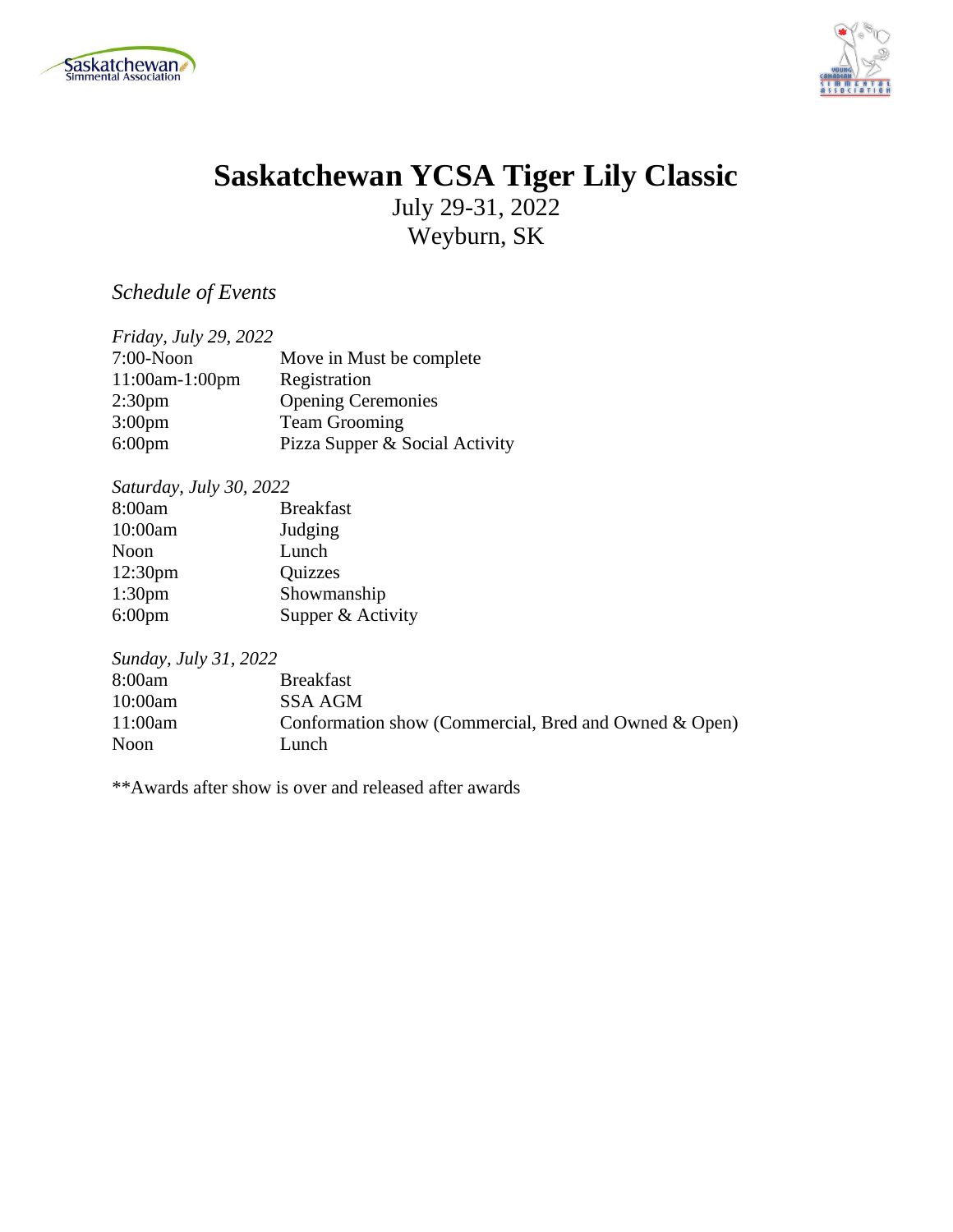



# **Saskatchewan YCSA Tiger Lily Classic** July 29-31, 2022 Weyburn, SK

*Schedule of Events*

| Friday, July 29, 2022 |                                |
|-----------------------|--------------------------------|
| $7:00-N$ oon          | Move in Must be complete.      |
| 11:00am-1:00pm        | Registration                   |
| 2:30 <sub>pm</sub>    | <b>Opening Ceremonies</b>      |
| 3:00 <sub>pm</sub>    | <b>Team Grooming</b>           |
| $6:00 \text{pm}$      | Pizza Supper & Social Activity |

*Saturday, July 30, 2022*

| <b>Breakfast</b>  |
|-------------------|
| Judging           |
| Lunch             |
| Quizzes           |
| Showmanship       |
| Supper & Activity |
|                   |

| <i>Sunday, July 31, 2022</i> |                                                          |
|------------------------------|----------------------------------------------------------|
| 8:00am                       | <b>Breakfast</b>                                         |
| 10:00am                      | SSA AGM                                                  |
| 11:00am                      | Conformation show (Commercial, Bred and Owned $\&$ Open) |
| Noon                         | Lunch                                                    |

\*\*Awards after show is over and released after awards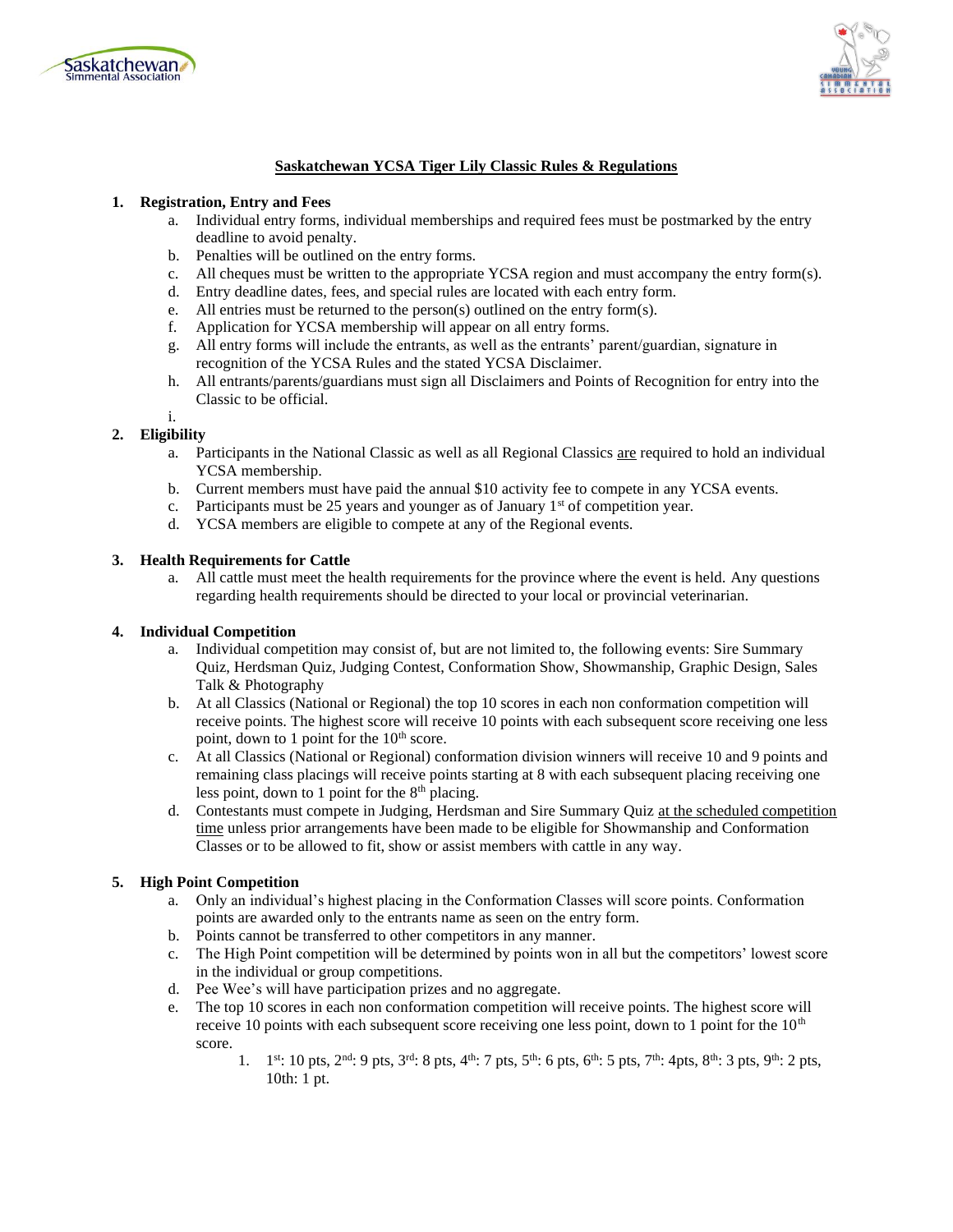



# **Saskatchewan YCSA Tiger Lily Classic Rules & Regulations**

#### **1. Registration, Entry and Fees**

- a. Individual entry forms, individual memberships and required fees must be postmarked by the entry deadline to avoid penalty.
- b. Penalties will be outlined on the entry forms.
- c. All cheques must be written to the appropriate YCSA region and must accompany the entry form(s).
- d. Entry deadline dates, fees, and special rules are located with each entry form.
- e. All entries must be returned to the person(s) outlined on the entry form(s).
- f. Application for YCSA membership will appear on all entry forms.
- g. All entry forms will include the entrants, as well as the entrants' parent/guardian, signature in recognition of the YCSA Rules and the stated YCSA Disclaimer.
- h. All entrants/parents/guardians must sign all Disclaimers and Points of Recognition for entry into the Classic to be official.

#### i. **2. Eligibility**

- a. Participants in the National Classic as well as all Regional Classics are required to hold an individual YCSA membership.
- b. Current members must have paid the annual \$10 activity fee to compete in any YCSA events.
- c. Participants must be 25 years and younger as of January  $1<sup>st</sup>$  of competition year.
- d. YCSA members are eligible to compete at any of the Regional events.

# **3. Health Requirements for Cattle**

a. All cattle must meet the health requirements for the province where the event is held. Any questions regarding health requirements should be directed to your local or provincial veterinarian.

# **4. Individual Competition**

- a. Individual competition may consist of, but are not limited to, the following events: Sire Summary Quiz, Herdsman Quiz, Judging Contest, Conformation Show, Showmanship, Graphic Design, Sales Talk & Photography
- b. At all Classics (National or Regional) the top 10 scores in each non conformation competition will receive points. The highest score will receive 10 points with each subsequent score receiving one less point, down to 1 point for the  $10<sup>th</sup>$  score.
- c. At all Classics (National or Regional) conformation division winners will receive 10 and 9 points and remaining class placings will receive points starting at 8 with each subsequent placing receiving one less point, down to 1 point for the  $8<sup>th</sup>$  placing.
- d. Contestants must compete in Judging, Herdsman and Sire Summary Quiz at the scheduled competition time unless prior arrangements have been made to be eligible for Showmanship and Conformation Classes or to be allowed to fit, show or assist members with cattle in any way.

# **5. High Point Competition**

- a. Only an individual's highest placing in the Conformation Classes will score points. Conformation points are awarded only to the entrants name as seen on the entry form.
- b. Points cannot be transferred to other competitors in any manner.
- c. The High Point competition will be determined by points won in all but the competitors' lowest score in the individual or group competitions.
- d. Pee Wee's will have participation prizes and no aggregate.
- e. The top 10 scores in each non conformation competition will receive points. The highest score will receive 10 points with each subsequent score receiving one less point, down to 1 point for the 10<sup>th</sup> score.
	- 1.  $1^{st}$ : 10 pts,  $2^{nd}$ : 9 pts,  $3^{rd}$ : 8 pts,  $4^{th}$ : 7 pts,  $5^{th}$ : 6 pts,  $6^{th}$ : 5 pts,  $7^{th}$ : 4pts,  $8^{th}$ : 3 pts,  $9^{th}$ : 2 pts, 10th: 1 pt.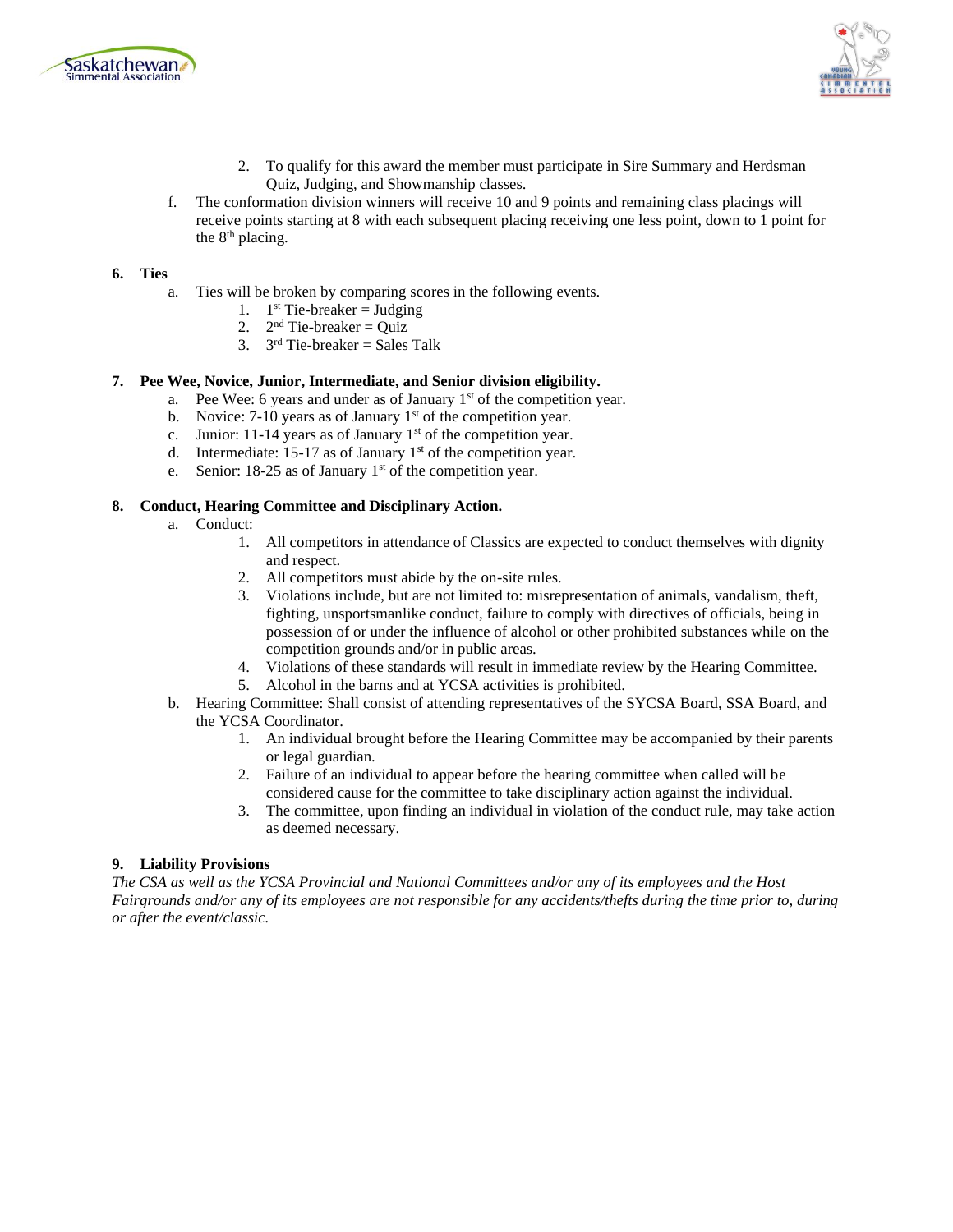



- 2. To qualify for this award the member must participate in Sire Summary and Herdsman Quiz, Judging, and Showmanship classes.
- f. The conformation division winners will receive 10 and 9 points and remaining class placings will receive points starting at 8 with each subsequent placing receiving one less point, down to 1 point for the  $8<sup>th</sup>$  placing.

# **6. Ties**

- a. Ties will be broken by comparing scores in the following events.
	- 1.  $1<sup>st</sup>$  Tie-breaker = Judging
	- 2.  $2<sup>nd</sup>$  Tie-breaker = Quiz
	- 3.  $3<sup>rd</sup>$  Tie-breaker = Sales Talk

# **7. Pee Wee, Novice, Junior, Intermediate, and Senior division eligibility.**

- a. Pee Wee: 6 years and under as of January  $1<sup>st</sup>$  of the competition year.
- b. Novice: 7-10 years as of January  $1<sup>st</sup>$  of the competition year.
- c. Junior: 11-14 years as of January  $1<sup>st</sup>$  of the competition year.
- d. Intermediate: 15-17 as of January  $1<sup>st</sup>$  of the competition year.
- e. Senior: 18-25 as of January  $1<sup>st</sup>$  of the competition year.

# **8. Conduct, Hearing Committee and Disciplinary Action.**

- a. Conduct:
	- 1. All competitors in attendance of Classics are expected to conduct themselves with dignity and respect.
	- 2. All competitors must abide by the on-site rules.
	- 3. Violations include, but are not limited to: misrepresentation of animals, vandalism, theft, fighting, unsportsmanlike conduct, failure to comply with directives of officials, being in possession of or under the influence of alcohol or other prohibited substances while on the competition grounds and/or in public areas.
	- 4. Violations of these standards will result in immediate review by the Hearing Committee.
	- 5. Alcohol in the barns and at YCSA activities is prohibited.
- b. Hearing Committee: Shall consist of attending representatives of the SYCSA Board, SSA Board, and the YCSA Coordinator.
	- 1. An individual brought before the Hearing Committee may be accompanied by their parents or legal guardian.
	- 2. Failure of an individual to appear before the hearing committee when called will be considered cause for the committee to take disciplinary action against the individual.
	- 3. The committee, upon finding an individual in violation of the conduct rule, may take action as deemed necessary.

# **9. Liability Provisions**

*The CSA as well as the YCSA Provincial and National Committees and/or any of its employees and the Host Fairgrounds and/or any of its employees are not responsible for any accidents/thefts during the time prior to, during or after the event/classic.*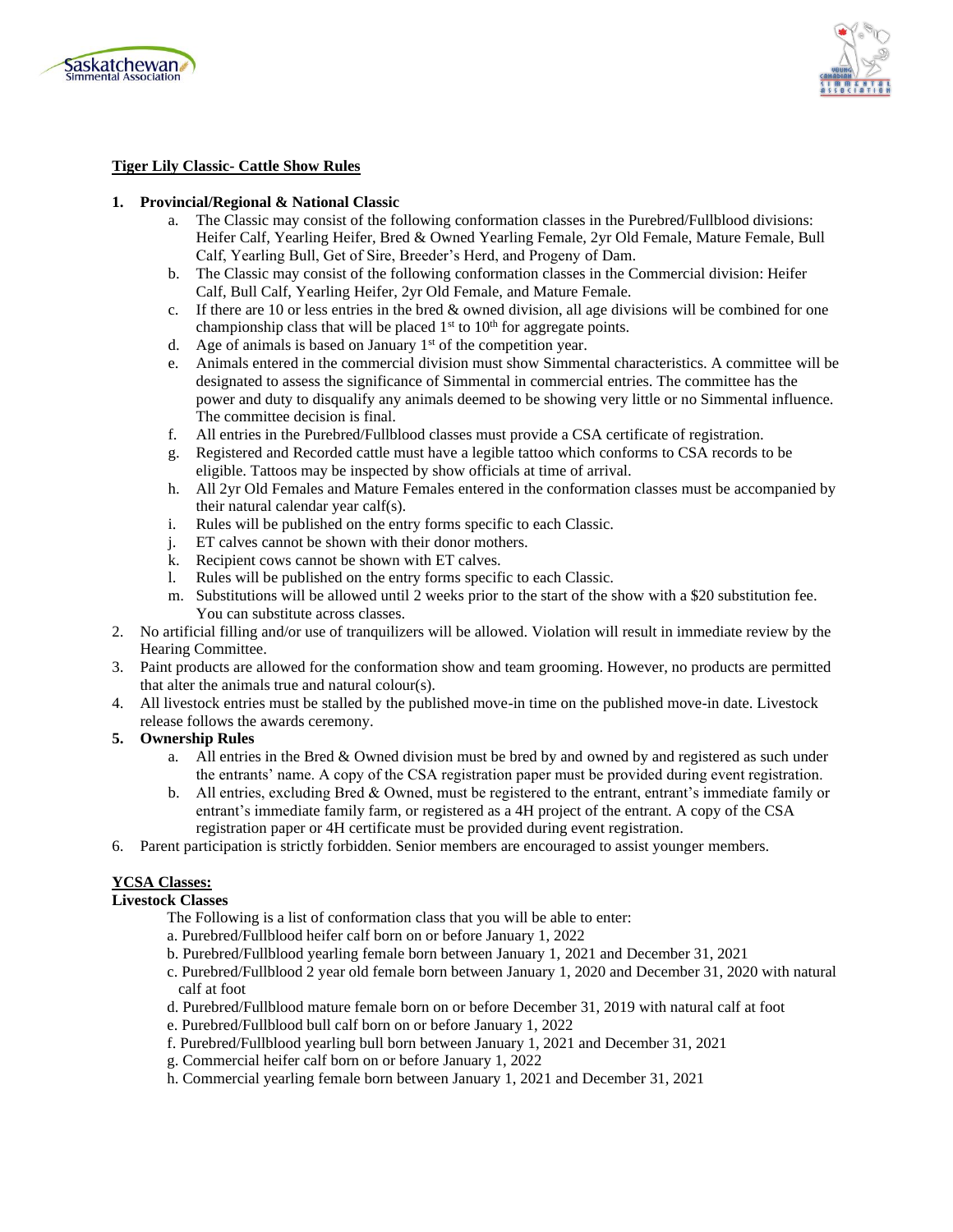



# **Tiger Lily Classic- Cattle Show Rules**

# **1. Provincial/Regional & National Classic**

- a. The Classic may consist of the following conformation classes in the Purebred/Fullblood divisions: Heifer Calf, Yearling Heifer, Bred & Owned Yearling Female, 2yr Old Female, Mature Female, Bull Calf, Yearling Bull, Get of Sire, Breeder's Herd, and Progeny of Dam.
- b. The Classic may consist of the following conformation classes in the Commercial division: Heifer Calf, Bull Calf, Yearling Heifer, 2yr Old Female, and Mature Female.
- c. If there are 10 or less entries in the bred  $&$  owned division, all age divisions will be combined for one championship class that will be placed  $1<sup>st</sup>$  to  $10<sup>th</sup>$  for aggregate points.
- d. Age of animals is based on January  $1<sup>st</sup>$  of the competition year.
- e. Animals entered in the commercial division must show Simmental characteristics. A committee will be designated to assess the significance of Simmental in commercial entries. The committee has the power and duty to disqualify any animals deemed to be showing very little or no Simmental influence. The committee decision is final.
- f. All entries in the Purebred/Fullblood classes must provide a CSA certificate of registration.
- g. Registered and Recorded cattle must have a legible tattoo which conforms to CSA records to be eligible. Tattoos may be inspected by show officials at time of arrival.
- h. All 2yr Old Females and Mature Females entered in the conformation classes must be accompanied by their natural calendar year calf(s).
- i. Rules will be published on the entry forms specific to each Classic.
- j. ET calves cannot be shown with their donor mothers.
- k. Recipient cows cannot be shown with ET calves.
- l. Rules will be published on the entry forms specific to each Classic.
- m. Substitutions will be allowed until 2 weeks prior to the start of the show with a \$20 substitution fee. You can substitute across classes.
- 2. No artificial filling and/or use of tranquilizers will be allowed. Violation will result in immediate review by the Hearing Committee.
- 3. Paint products are allowed for the conformation show and team grooming. However, no products are permitted that alter the animals true and natural colour(s).
- 4. All livestock entries must be stalled by the published move-in time on the published move-in date. Livestock release follows the awards ceremony.

#### **5. Ownership Rules**

- a. All entries in the Bred & Owned division must be bred by and owned by and registered as such under the entrants' name. A copy of the CSA registration paper must be provided during event registration.
- b. All entries, excluding Bred & Owned, must be registered to the entrant, entrant's immediate family or entrant's immediate family farm, or registered as a 4H project of the entrant. A copy of the CSA registration paper or 4H certificate must be provided during event registration.
- 6. Parent participation is strictly forbidden. Senior members are encouraged to assist younger members.

# **YCSA Classes:**

# **Livestock Classes**

- The Following is a list of conformation class that you will be able to enter:
- a. Purebred/Fullblood heifer calf born on or before January 1, 2022
- b. Purebred/Fullblood yearling female born between January 1, 2021 and December 31, 2021
- c. Purebred/Fullblood 2 year old female born between January 1, 2020 and December 31, 2020 with natural calf at foot
- d. Purebred/Fullblood mature female born on or before December 31, 2019 with natural calf at foot
- e. Purebred/Fullblood bull calf born on or before January 1, 2022
- f. Purebred/Fullblood yearling bull born between January 1, 2021 and December 31, 2021
- g. Commercial heifer calf born on or before January 1, 2022
- h. Commercial yearling female born between January 1, 2021 and December 31, 2021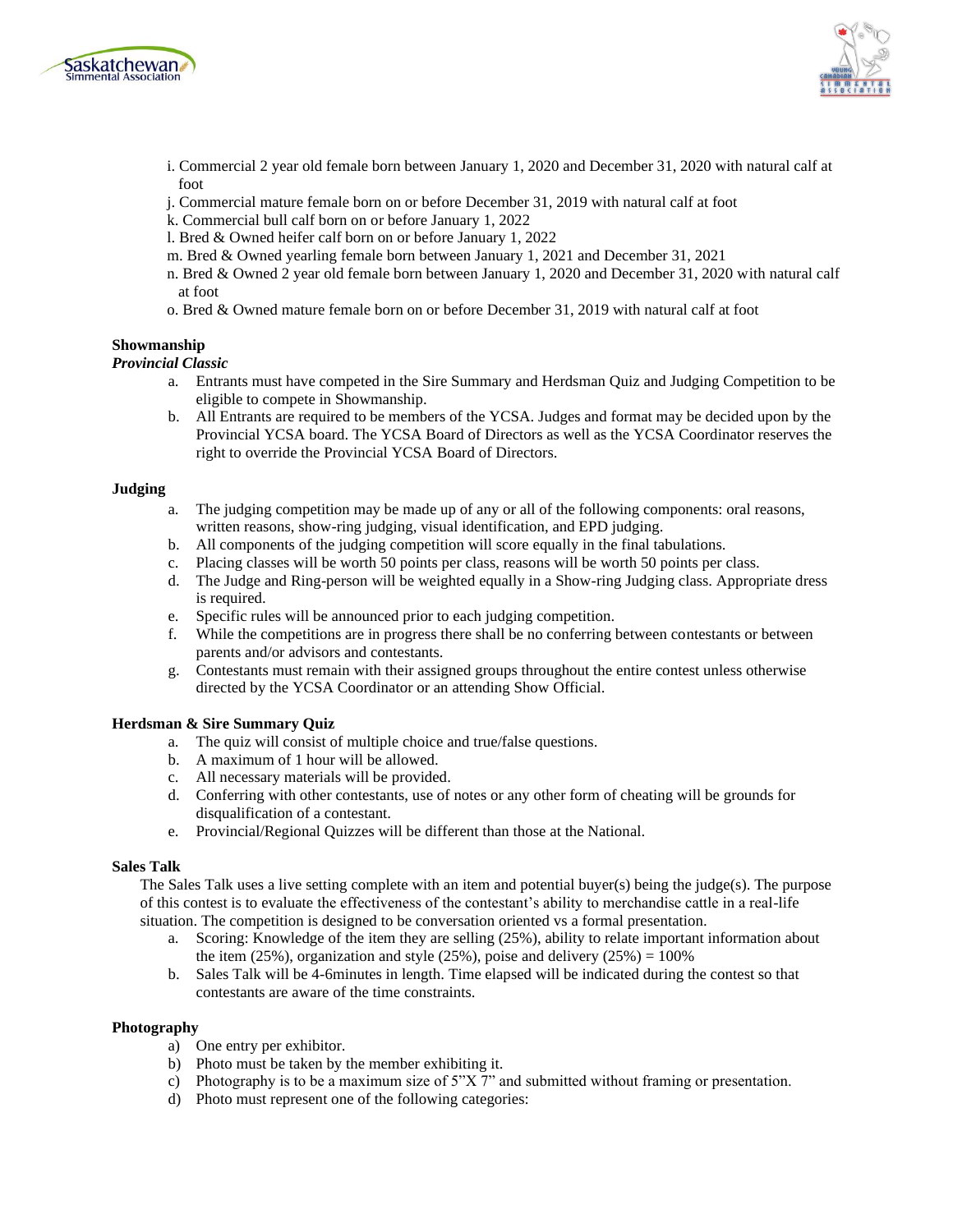



- i. Commercial 2 year old female born between January 1, 2020 and December 31, 2020 with natural calf at foot
- j. Commercial mature female born on or before December 31, 2019 with natural calf at foot
- k. Commercial bull calf born on or before January 1, 2022
- l. Bred & Owned heifer calf born on or before January 1, 2022
- m. Bred & Owned yearling female born between January 1, 2021 and December 31, 2021
- n. Bred & Owned 2 year old female born between January 1, 2020 and December 31, 2020 with natural calf at foot
- o. Bred & Owned mature female born on or before December 31, 2019 with natural calf at foot

# **Showmanship**

# *Provincial Classic*

- a. Entrants must have competed in the Sire Summary and Herdsman Quiz and Judging Competition to be eligible to compete in Showmanship.
- b. All Entrants are required to be members of the YCSA. Judges and format may be decided upon by the Provincial YCSA board. The YCSA Board of Directors as well as the YCSA Coordinator reserves the right to override the Provincial YCSA Board of Directors.

#### **Judging**

- a. The judging competition may be made up of any or all of the following components: oral reasons, written reasons, show-ring judging, visual identification, and EPD judging.
- b. All components of the judging competition will score equally in the final tabulations.
- c. Placing classes will be worth 50 points per class, reasons will be worth 50 points per class.
- d. The Judge and Ring-person will be weighted equally in a Show-ring Judging class. Appropriate dress is required.
- e. Specific rules will be announced prior to each judging competition.
- f. While the competitions are in progress there shall be no conferring between contestants or between parents and/or advisors and contestants.
- g. Contestants must remain with their assigned groups throughout the entire contest unless otherwise directed by the YCSA Coordinator or an attending Show Official.

#### **Herdsman & Sire Summary Quiz**

- a. The quiz will consist of multiple choice and true/false questions.
- b. A maximum of 1 hour will be allowed.
- c. All necessary materials will be provided.
- d. Conferring with other contestants, use of notes or any other form of cheating will be grounds for disqualification of a contestant.
- e. Provincial/Regional Quizzes will be different than those at the National.

#### **Sales Talk**

The Sales Talk uses a live setting complete with an item and potential buyer(s) being the judge(s). The purpose of this contest is to evaluate the effectiveness of the contestant's ability to merchandise cattle in a real-life situation. The competition is designed to be conversation oriented vs a formal presentation.

- a. Scoring: Knowledge of the item they are selling (25%), ability to relate important information about the item (25%), organization and style (25%), poise and delivery (25%) =  $100\%$
- b. Sales Talk will be 4-6minutes in length. Time elapsed will be indicated during the contest so that contestants are aware of the time constraints.

# **Photography**

- a) One entry per exhibitor.
- b) Photo must be taken by the member exhibiting it.
- c) Photography is to be a maximum size of 5"X 7" and submitted without framing or presentation.
- d) Photo must represent one of the following categories: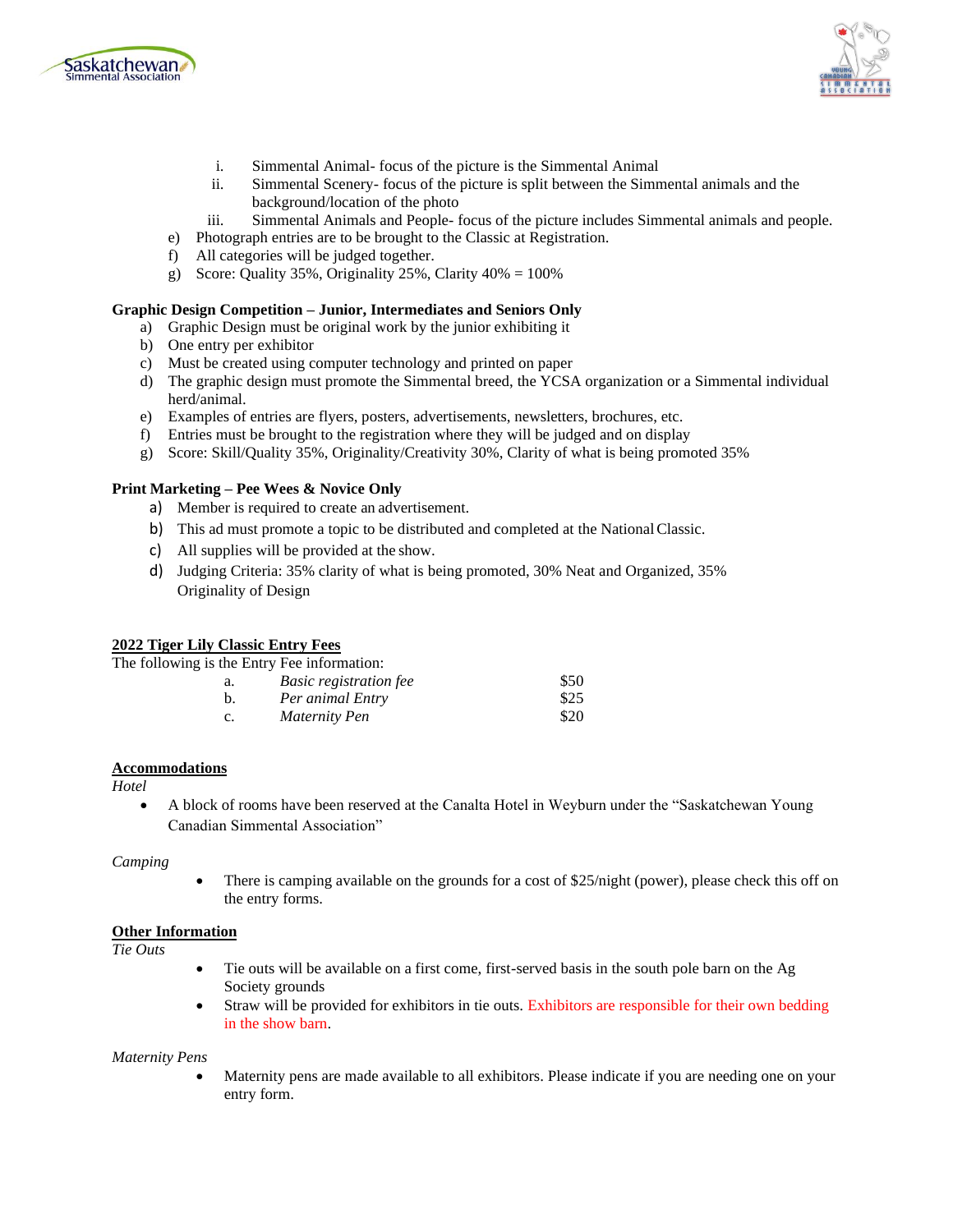



- i. Simmental Animal- focus of the picture is the Simmental Animal
- ii. Simmental Scenery- focus of the picture is split between the Simmental animals and the background/location of the photo
- iii. Simmental Animals and People- focus of the picture includes Simmental animals and people.
- e) Photograph entries are to be brought to the Classic at Registration.
- f) All categories will be judged together.
- g) Score: Quality 35%, Originality 25%, Clarity  $40\% = 100\%$

# **Graphic Design Competition – Junior, Intermediates and Seniors Only**

- a) Graphic Design must be original work by the junior exhibiting it
- b) One entry per exhibitor
- c) Must be created using computer technology and printed on paper
- d) The graphic design must promote the Simmental breed, the YCSA organization or a Simmental individual herd/animal.
- e) Examples of entries are flyers, posters, advertisements, newsletters, brochures, etc.
- f) Entries must be brought to the registration where they will be judged and on display
- g) Score: Skill/Quality 35%, Originality/Creativity 30%, Clarity of what is being promoted 35%

# **Print Marketing – Pee Wees & Novice Only**

- a) Member is required to create an advertisement.
- b) This ad must promote a topic to be distributed and completed at the NationalClassic.
- c) All supplies will be provided at the show.
- d) Judging Criteria: 35% clarity of what is being promoted, 30% Neat and Organized, 35% Originality of Design

#### **2022 Tiger Lily Classic Entry Fees**

The following is the Entry Fee information:

| a. | <i>Basic registration fee</i> | \$50 |
|----|-------------------------------|------|
| b. | Per animal Entry              | \$25 |
| c. | Maternity Pen                 | \$20 |

#### **Accommodations**

*Hotel*

• A block of rooms have been reserved at the Canalta Hotel in Weyburn under the "Saskatchewan Young Canadian Simmental Association"

*Camping*

There is camping available on the grounds for a cost of \$25/night (power), please check this off on the entry forms.

#### **Other Information**

*Tie Outs*

- Tie outs will be available on a first come, first-served basis in the south pole barn on the Ag Society grounds
- Straw will be provided for exhibitors in tie outs. Exhibitors are responsible for their own bedding in the show barn.

#### *Maternity Pens*

• Maternity pens are made available to all exhibitors. Please indicate if you are needing one on your entry form.